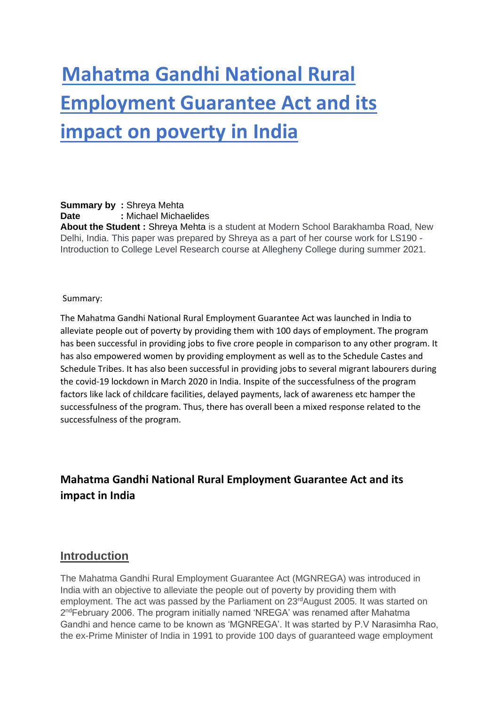# **Mahatma Gandhi National Rural Employment Guarantee Act and its impact on poverty in India**

#### **Summary by :** Shreya Mehta **Date** : Michael Michaelides

**About the Student :** Shreya Mehta is a student at Modern School Barakhamba Road, New Delhi, India. This paper was prepared by Shreya as a part of her course work for LS190 - Introduction to College Level Research course at Allegheny College during summer 2021.

#### Summary:

The Mahatma Gandhi National Rural Employment Guarantee Act was launched in India to alleviate people out of poverty by providing them with 100 days of employment. The program has been successful in providing jobs to five crore people in comparison to any other program. It has also empowered women by providing employment as well as to the Schedule Castes and Schedule Tribes. It has also been successful in providing jobs to several migrant labourers during the covid-19 lockdown in March 2020 in India. Inspite of the successfulness of the program factors like lack of childcare facilities, delayed payments, lack of awareness etc hamper the successfulness of the program. Thus, there has overall been a mixed response related to the successfulness of the program.

# **Mahatma Gandhi National Rural Employment Guarantee Act and its impact in India**

#### **Introduction**

The Mahatma Gandhi Rural Employment Guarantee Act (MGNREGA) was introduced in India with an objective to alleviate the people out of poverty by providing them with employment. The act was passed by the Parliament on  $23<sup>rd</sup>$ August 2005. It was started on 2<sup>nd</sup>February 2006. The program initially named 'NREGA' was renamed after Mahatma Gandhi and hence came to be known as 'MGNREGA'. It was started by P.V Narasimha Rao, the ex-Prime Minister of India in 1991 to provide 100 days of guaranteed wage employment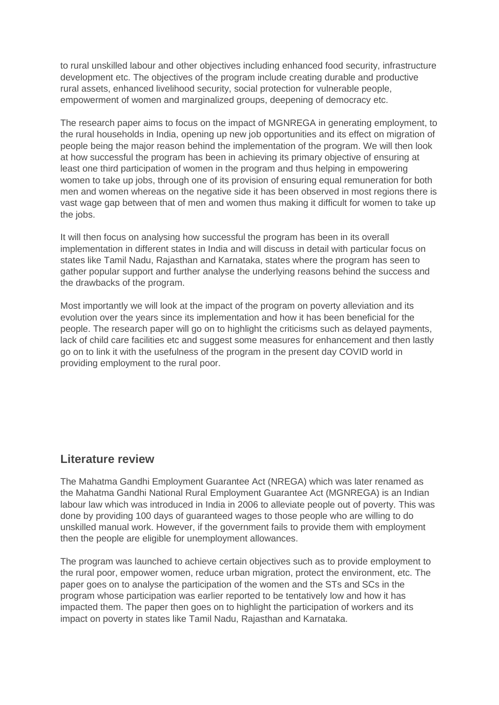to rural unskilled labour and other objectives including enhanced food security, infrastructure development etc. The objectives of the program include creating durable and productive rural assets, enhanced livelihood security, social protection for vulnerable people, empowerment of women and marginalized groups, deepening of democracy etc.

The research paper aims to focus on the impact of MGNREGA in generating employment, to the rural households in India, opening up new job opportunities and its effect on migration of people being the major reason behind the implementation of the program. We will then look at how successful the program has been in achieving its primary objective of ensuring at least one third participation of women in the program and thus helping in empowering women to take up jobs, through one of its provision of ensuring equal remuneration for both men and women whereas on the negative side it has been observed in most regions there is vast wage gap between that of men and women thus making it difficult for women to take up the jobs.

It will then focus on analysing how successful the program has been in its overall implementation in different states in India and will discuss in detail with particular focus on states like Tamil Nadu, Rajasthan and Karnataka, states where the program has seen to gather popular support and further analyse the underlying reasons behind the success and the drawbacks of the program.

Most importantly we will look at the impact of the program on poverty alleviation and its evolution over the years since its implementation and how it has been beneficial for the people. The research paper will go on to highlight the criticisms such as delayed payments, lack of child care facilities etc and suggest some measures for enhancement and then lastly go on to link it with the usefulness of the program in the present day COVID world in providing employment to the rural poor.

#### **Literature review**

The Mahatma Gandhi Employment Guarantee Act (NREGA) which was later renamed as the Mahatma Gandhi National Rural Employment Guarantee Act (MGNREGA) is an Indian labour law which was introduced in India in 2006 to alleviate people out of poverty. This was done by providing 100 days of guaranteed wages to those people who are willing to do unskilled manual work. However, if the government fails to provide them with employment then the people are eligible for unemployment allowances.

The program was launched to achieve certain objectives such as to provide employment to the rural poor, empower women, reduce urban migration, protect the environment, etc. The paper goes on to analyse the participation of the women and the STs and SCs in the program whose participation was earlier reported to be tentatively low and how it has impacted them. The paper then goes on to highlight the participation of workers and its impact on poverty in states like Tamil Nadu, Rajasthan and Karnataka.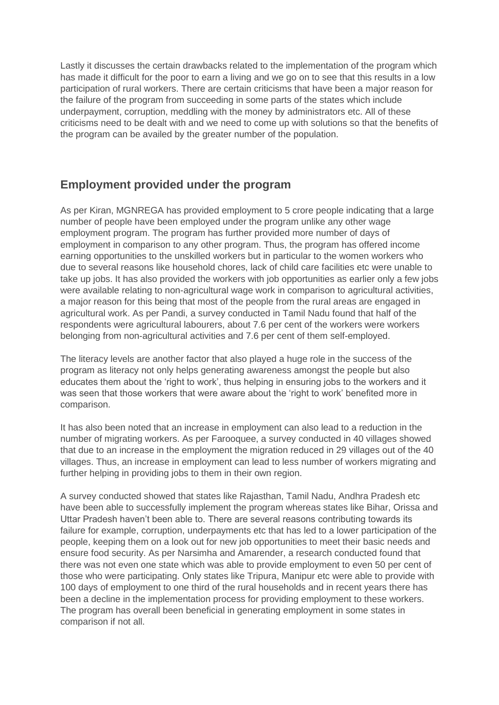Lastly it discusses the certain drawbacks related to the implementation of the program which has made it difficult for the poor to earn a living and we go on to see that this results in a low participation of rural workers. There are certain criticisms that have been a major reason for the failure of the program from succeeding in some parts of the states which include underpayment, corruption, meddling with the money by administrators etc. All of these criticisms need to be dealt with and we need to come up with solutions so that the benefits of the program can be availed by the greater number of the population.

## **Employment provided under the program**

As per Kiran, MGNREGA has provided employment to 5 crore people indicating that a large number of people have been employed under the program unlike any other wage employment program. The program has further provided more number of days of employment in comparison to any other program. Thus, the program has offered income earning opportunities to the unskilled workers but in particular to the women workers who due to several reasons like household chores, lack of child care facilities etc were unable to take up jobs. It has also provided the workers with job opportunities as earlier only a few jobs were available relating to non-agricultural wage work in comparison to agricultural activities, a major reason for this being that most of the people from the rural areas are engaged in agricultural work. As per Pandi, a survey conducted in Tamil Nadu found that half of the respondents were agricultural labourers, about 7.6 per cent of the workers were workers belonging from non-agricultural activities and 7.6 per cent of them self-employed.

The literacy levels are another factor that also played a huge role in the success of the program as literacy not only helps generating awareness amongst the people but also educates them about the 'right to work', thus helping in ensuring jobs to the workers and it was seen that those workers that were aware about the 'right to work' benefited more in comparison.

It has also been noted that an increase in employment can also lead to a reduction in the number of migrating workers. As per Farooquee, a survey conducted in 40 villages showed that due to an increase in the employment the migration reduced in 29 villages out of the 40 villages. Thus, an increase in employment can lead to less number of workers migrating and further helping in providing jobs to them in their own region.

A survey conducted showed that states like Rajasthan, Tamil Nadu, Andhra Pradesh etc have been able to successfully implement the program whereas states like Bihar, Orissa and Uttar Pradesh haven't been able to. There are several reasons contributing towards its failure for example, corruption, underpayments etc that has led to a lower participation of the people, keeping them on a look out for new job opportunities to meet their basic needs and ensure food security. As per Narsimha and Amarender, a research conducted found that there was not even one state which was able to provide employment to even 50 per cent of those who were participating. Only states like Tripura, Manipur etc were able to provide with 100 days of employment to one third of the rural households and in recent years there has been a decline in the implementation process for providing employment to these workers. The program has overall been beneficial in generating employment in some states in comparison if not all.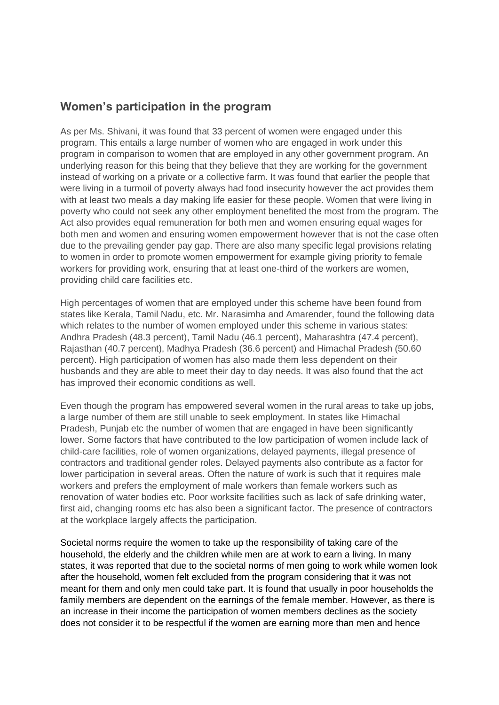#### **Women's participation in the program**

As per Ms. Shivani, it was found that 33 percent of women were engaged under this program. This entails a large number of women who are engaged in work under this program in comparison to women that are employed in any other government program. An underlying reason for this being that they believe that they are working for the government instead of working on a private or a collective farm. It was found that earlier the people that were living in a turmoil of poverty always had food insecurity however the act provides them with at least two meals a day making life easier for these people. Women that were living in poverty who could not seek any other employment benefited the most from the program. The Act also provides equal remuneration for both men and women ensuring equal wages for both men and women and ensuring women empowerment however that is not the case often due to the prevailing gender pay gap. There are also many specific legal provisions relating to women in order to promote women empowerment for example giving priority to female workers for providing work, ensuring that at least one-third of the workers are women, providing child care facilities etc.

High percentages of women that are employed under this scheme have been found from states like Kerala, Tamil Nadu, etc. Mr. Narasimha and Amarender, found the following data which relates to the number of women employed under this scheme in various states: Andhra Pradesh (48.3 percent), Tamil Nadu (46.1 percent), Maharashtra (47.4 percent), Rajasthan (40.7 percent), Madhya Pradesh (36.6 percent) and Himachal Pradesh (50.60 percent). High participation of women has also made them less dependent on their husbands and they are able to meet their day to day needs. It was also found that the act has improved their economic conditions as well.

Even though the program has empowered several women in the rural areas to take up jobs, a large number of them are still unable to seek employment. In states like Himachal Pradesh, Punjab etc the number of women that are engaged in have been significantly lower. Some factors that have contributed to the low participation of women include lack of child-care facilities, role of women organizations, delayed payments, illegal presence of contractors and traditional gender roles. Delayed payments also contribute as a factor for lower participation in several areas. Often the nature of work is such that it requires male workers and prefers the employment of male workers than female workers such as renovation of water bodies etc. Poor worksite facilities such as lack of safe drinking water, first aid, changing rooms etc has also been a significant factor. The presence of contractors at the workplace largely affects the participation.

Societal norms require the women to take up the responsibility of taking care of the household, the elderly and the children while men are at work to earn a living. In many states, it was reported that due to the societal norms of men going to work while women look after the household, women felt excluded from the program considering that it was not meant for them and only men could take part. It is found that usually in poor households the family members are dependent on the earnings of the female member. However, as there is an increase in their income the participation of women members declines as the society does not consider it to be respectful if the women are earning more than men and hence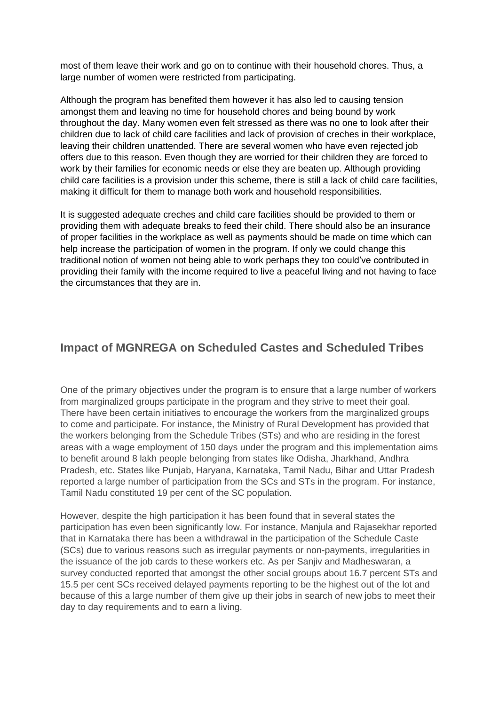most of them leave their work and go on to continue with their household chores. Thus, a large number of women were restricted from participating.

Although the program has benefited them however it has also led to causing tension amongst them and leaving no time for household chores and being bound by work throughout the day. Many women even felt stressed as there was no one to look after their children due to lack of child care facilities and lack of provision of creches in their workplace, leaving their children unattended. There are several women who have even rejected job offers due to this reason. Even though they are worried for their children they are forced to work by their families for economic needs or else they are beaten up. Although providing child care facilities is a provision under this scheme, there is still a lack of child care facilities, making it difficult for them to manage both work and household responsibilities.

It is suggested adequate creches and child care facilities should be provided to them or providing them with adequate breaks to feed their child. There should also be an insurance of proper facilities in the workplace as well as payments should be made on time which can help increase the participation of women in the program. If only we could change this traditional notion of women not being able to work perhaps they too could've contributed in providing their family with the income required to live a peaceful living and not having to face the circumstances that they are in.

#### **Impact of MGNREGA on Scheduled Castes and Scheduled Tribes**

One of the primary objectives under the program is to ensure that a large number of workers from marginalized groups participate in the program and they strive to meet their goal. There have been certain initiatives to encourage the workers from the marginalized groups to come and participate. For instance, the Ministry of Rural Development has provided that the workers belonging from the Schedule Tribes (STs) and who are residing in the forest areas with a wage employment of 150 days under the program and this implementation aims to benefit around 8 lakh people belonging from states like Odisha, Jharkhand, Andhra Pradesh, etc. States like Punjab, Haryana, Karnataka, Tamil Nadu, Bihar and Uttar Pradesh reported a large number of participation from the SCs and STs in the program. For instance, Tamil Nadu constituted 19 per cent of the SC population.

However, despite the high participation it has been found that in several states the participation has even been significantly low. For instance, Manjula and Rajasekhar reported that in Karnataka there has been a withdrawal in the participation of the Schedule Caste (SCs) due to various reasons such as irregular payments or non-payments, irregularities in the issuance of the job cards to these workers etc. As per Sanjiv and Madheswaran, a survey conducted reported that amongst the other social groups about 16.7 percent STs and 15.5 per cent SCs received delayed payments reporting to be the highest out of the lot and because of this a large number of them give up their jobs in search of new jobs to meet their day to day requirements and to earn a living.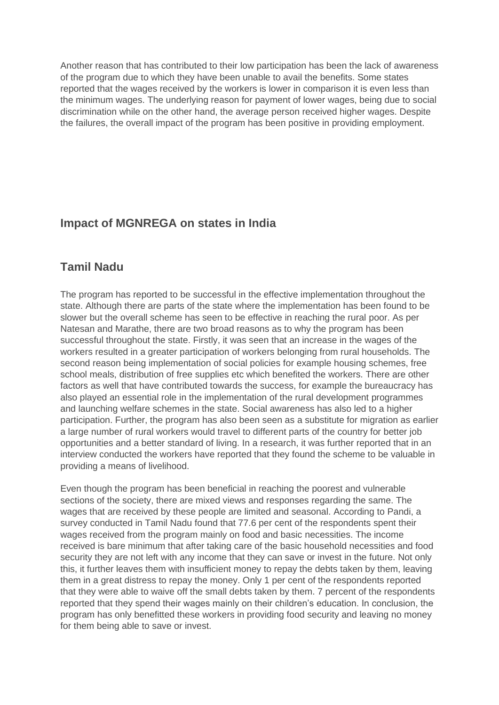Another reason that has contributed to their low participation has been the lack of awareness of the program due to which they have been unable to avail the benefits. Some states reported that the wages received by the workers is lower in comparison it is even less than the minimum wages. The underlying reason for payment of lower wages, being due to social discrimination while on the other hand, the average person received higher wages. Despite the failures, the overall impact of the program has been positive in providing employment.

## **Impact of MGNREGA on states in India**

# **Tamil Nadu**

The program has reported to be successful in the effective implementation throughout the state. Although there are parts of the state where the implementation has been found to be slower but the overall scheme has seen to be effective in reaching the rural poor. As per Natesan and Marathe, there are two broad reasons as to why the program has been successful throughout the state. Firstly, it was seen that an increase in the wages of the workers resulted in a greater participation of workers belonging from rural households. The second reason being implementation of social policies for example housing schemes, free school meals, distribution of free supplies etc which benefited the workers. There are other factors as well that have contributed towards the success, for example the bureaucracy has also played an essential role in the implementation of the rural development programmes and launching welfare schemes in the state. Social awareness has also led to a higher participation. Further, the program has also been seen as a substitute for migration as earlier a large number of rural workers would travel to different parts of the country for better job opportunities and a better standard of living. In a research, it was further reported that in an interview conducted the workers have reported that they found the scheme to be valuable in providing a means of livelihood.

Even though the program has been beneficial in reaching the poorest and vulnerable sections of the society, there are mixed views and responses regarding the same. The wages that are received by these people are limited and seasonal. According to Pandi, a survey conducted in Tamil Nadu found that 77.6 per cent of the respondents spent their wages received from the program mainly on food and basic necessities. The income received is bare minimum that after taking care of the basic household necessities and food security they are not left with any income that they can save or invest in the future. Not only this, it further leaves them with insufficient money to repay the debts taken by them, leaving them in a great distress to repay the money. Only 1 per cent of the respondents reported that they were able to waive off the small debts taken by them. 7 percent of the respondents reported that they spend their wages mainly on their children's education. In conclusion, the program has only benefitted these workers in providing food security and leaving no money for them being able to save or invest.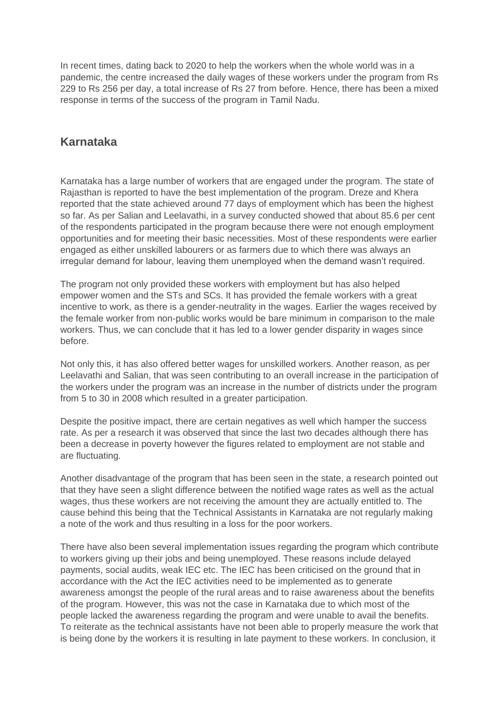In recent times, dating back to 2020 to help the workers when the whole world was in a pandemic, the centre increased the daily wages of these workers under the program from Rs 229 to Rs 256 per day, a total increase of Rs 27 from before. Hence, there has been a mixed response in terms of the success of the program in Tamil Nadu.

### **Karnataka**

Karnataka has a large number of workers that are engaged under the program. The state of Rajasthan is reported to have the best implementation of the program. Dreze and Khera reported that the state achieved around 77 days of employment which has been the highest so far. As per Salian and Leelavathi, in a survey conducted showed that about 85.6 per cent of the respondents participated in the program because there were not enough employment opportunities and for meeting their basic necessities. Most of these respondents were earlier engaged as either unskilled labourers or as farmers due to which there was always an irregular demand for labour, leaving them unemployed when the demand wasn't required.

The program not only provided these workers with employment but has also helped empower women and the STs and SCs. It has provided the female workers with a great incentive to work, as there is a gender-neutrality in the wages. Earlier the wages received by the female worker from non-public works would be bare minimum in comparison to the male workers. Thus, we can conclude that it has led to a lower gender disparity in wages since before.

Not only this, it has also offered better wages for unskilled workers. Another reason, as per Leelavathi and Salian, that was seen contributing to an overall increase in the participation of the workers under the program was an increase in the number of districts under the program from 5 to 30 in 2008 which resulted in a greater participation.

Despite the positive impact, there are certain negatives as well which hamper the success rate. As per a research it was observed that since the last two decades although there has been a decrease in poverty however the figures related to employment are not stable and are fluctuating.

Another disadvantage of the program that has been seen in the state, a research pointed out that they have seen a slight difference between the notified wage rates as well as the actual wages, thus these workers are not receiving the amount they are actually entitled to. The cause behind this being that the Technical Assistants in Karnataka are not regularly making a note of the work and thus resulting in a loss for the poor workers.

There have also been several implementation issues regarding the program which contribute to workers giving up their jobs and being unemployed. These reasons include delayed payments, social audits, weak IEC etc. The IEC has been criticised on the ground that in accordance with the Act the IEC activities need to be implemented as to generate awareness amongst the people of the rural areas and to raise awareness about the benefits of the program. However, this was not the case in Karnataka due to which most of the people lacked the awareness regarding the program and were unable to avail the benefits. To reiterate as the technical assistants have not been able to properly measure the work that is being done by the workers it is resulting in late payment to these workers. In conclusion, it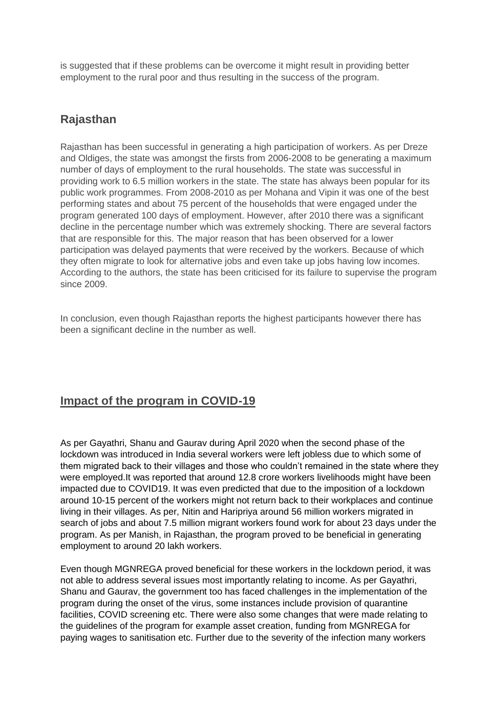is suggested that if these problems can be overcome it might result in providing better employment to the rural poor and thus resulting in the success of the program.

# **Rajasthan**

Rajasthan has been successful in generating a high participation of workers. As per Dreze and Oldiges, the state was amongst the firsts from 2006-2008 to be generating a maximum number of days of employment to the rural households. The state was successful in providing work to 6.5 million workers in the state. The state has always been popular for its public work programmes. From 2008-2010 as per Mohana and Vipin it was one of the best performing states and about 75 percent of the households that were engaged under the program generated 100 days of employment. However, after 2010 there was a significant decline in the percentage number which was extremely shocking. There are several factors that are responsible for this. The major reason that has been observed for a lower participation was delayed payments that were received by the workers. Because of which they often migrate to look for alternative jobs and even take up jobs having low incomes. According to the authors, the state has been criticised for its failure to supervise the program since 2009.

In conclusion, even though Rajasthan reports the highest participants however there has been a significant decline in the number as well.

## **Impact of the program in COVID-19**

As per Gayathri, Shanu and Gaurav during April 2020 when the second phase of the lockdown was introduced in India several workers were left jobless due to which some of them migrated back to their villages and those who couldn't remained in the state where they were employed.It was reported that around 12.8 crore workers livelihoods might have been impacted due to COVID19. It was even predicted that due to the imposition of a lockdown around 10-15 percent of the workers might not return back to their workplaces and continue living in their villages. As per, Nitin and Haripriya around 56 million workers migrated in search of jobs and about 7.5 million migrant workers found work for about 23 days under the program. As per Manish, in Rajasthan, the program proved to be beneficial in generating employment to around 20 lakh workers.

Even though MGNREGA proved beneficial for these workers in the lockdown period, it was not able to address several issues most importantly relating to income. As per Gayathri, Shanu and Gaurav, the government too has faced challenges in the implementation of the program during the onset of the virus, some instances include provision of quarantine facilities, COVID screening etc. There were also some changes that were made relating to the guidelines of the program for example asset creation, funding from MGNREGA for paying wages to sanitisation etc. Further due to the severity of the infection many workers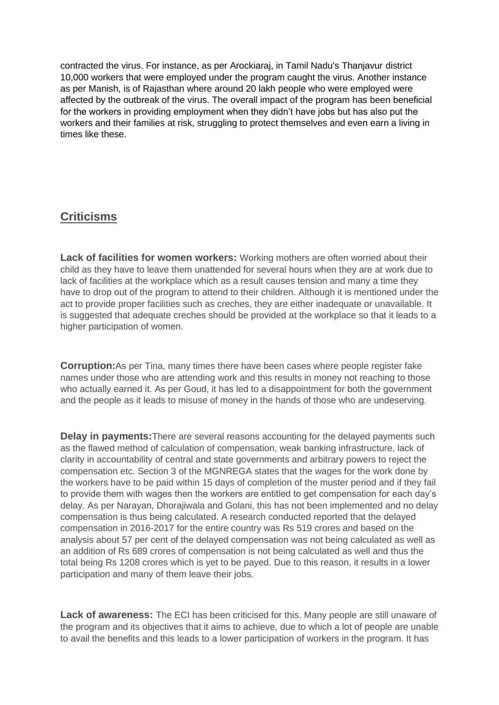contracted the virus. For instance, as per Arockiaraj, in Tamil Nadu's Thanjavur district 10,000 workers that were employed under the program caught the virus. Another instance as per Manish, is of Rajasthan where around 20 lakh people who were employed were affected by the outbreak of the virus. The overall impact of the program has been beneficial for the workers in providing employment when they didn't have jobs but has also put the workers and their families at risk, struggling to protect themselves and even earn a living in times like these.

#### **Criticisms**

**Lack of facilities for women workers:** Working mothers are often worried about their child as they have to leave them unattended for several hours when they are at work due to lack of facilities at the workplace which as a result causes tension and many a time they have to drop out of the program to attend to their children. Although it is mentioned under the act to provide proper facilities such as creches, they are either inadequate or unavailable. It is suggested that adequate creches should be provided at the workplace so that it leads to a higher participation of women.

**Corruption:**As per Tina, many times there have been cases where people register fake names under those who are attending work and this results in money not reaching to those who actually earned it. As per Goud, it has led to a disappointment for both the government and the people as it leads to misuse of money in the hands of those who are undeserving.

**Delay in payments:**There are several reasons accounting for the delayed payments such as the flawed method of calculation of compensation, weak banking infrastructure, lack of clarity in accountability of central and state governments and arbitrary powers to reject the compensation etc. Section 3 of the MGNREGA states that the wages for the work done by the workers have to be paid within 15 days of completion of the muster period and if they fail to provide them with wages then the workers are entitled to get compensation for each day's delay. As per Narayan, Dhorajiwala and Golani, this has not been implemented and no delay compensation is thus being calculated. A research conducted reported that the delayed compensation in 2016-2017 for the entire country was Rs 519 crores and based on the analysis about 57 per cent of the delayed compensation was not being calculated as well as an addition of Rs 689 crores of compensation is not being calculated as well and thus the total being Rs 1208 crores which is yet to be payed. Due to this reason, it results in a lower participation and many of them leave their jobs.

**Lack of awareness:** The ECI has been criticised for this. Many people are still unaware of the program and its objectives that it aims to achieve, due to which a lot of people are unable to avail the benefits and this leads to a lower participation of workers in the program. It has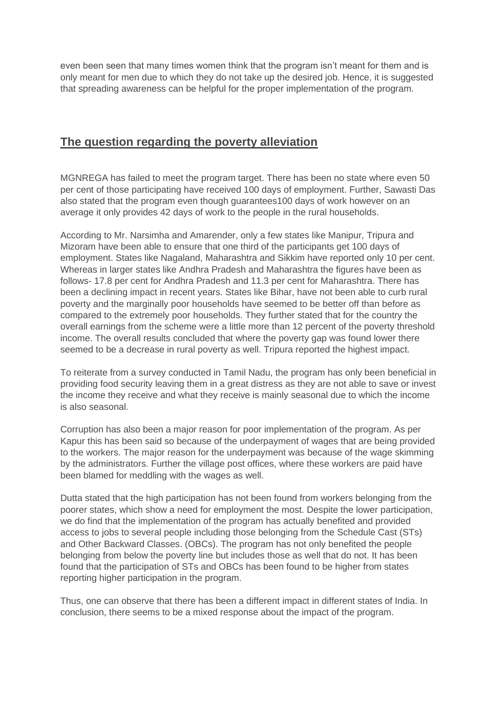even been seen that many times women think that the program isn't meant for them and is only meant for men due to which they do not take up the desired job. Hence, it is suggested that spreading awareness can be helpful for the proper implementation of the program.

### **The question regarding the poverty alleviation**

MGNREGA has failed to meet the program target. There has been no state where even 50 per cent of those participating have received 100 days of employment. Further, Sawasti Das also stated that the program even though guarantees100 days of work however on an average it only provides 42 days of work to the people in the rural households.

According to Mr. Narsimha and Amarender, only a few states like Manipur, Tripura and Mizoram have been able to ensure that one third of the participants get 100 days of employment. States like Nagaland, Maharashtra and Sikkim have reported only 10 per cent. Whereas in larger states like Andhra Pradesh and Maharashtra the figures have been as follows- 17.8 per cent for Andhra Pradesh and 11.3 per cent for Maharashtra. There has been a declining impact in recent years. States like Bihar, have not been able to curb rural poverty and the marginally poor households have seemed to be better off than before as compared to the extremely poor households. They further stated that for the country the overall earnings from the scheme were a little more than 12 percent of the poverty threshold income. The overall results concluded that where the poverty gap was found lower there seemed to be a decrease in rural poverty as well. Tripura reported the highest impact.

To reiterate from a survey conducted in Tamil Nadu, the program has only been beneficial in providing food security leaving them in a great distress as they are not able to save or invest the income they receive and what they receive is mainly seasonal due to which the income is also seasonal.

Corruption has also been a major reason for poor implementation of the program. As per Kapur this has been said so because of the underpayment of wages that are being provided to the workers. The major reason for the underpayment was because of the wage skimming by the administrators. Further the village post offices, where these workers are paid have been blamed for meddling with the wages as well.

Dutta stated that the high participation has not been found from workers belonging from the poorer states, which show a need for employment the most. Despite the lower participation, we do find that the implementation of the program has actually benefited and provided access to jobs to several people including those belonging from the Schedule Cast (STs) and Other Backward Classes. (OBCs). The program has not only benefited the people belonging from below the poverty line but includes those as well that do not. It has been found that the participation of STs and OBCs has been found to be higher from states reporting higher participation in the program.

Thus, one can observe that there has been a different impact in different states of India. In conclusion, there seems to be a mixed response about the impact of the program.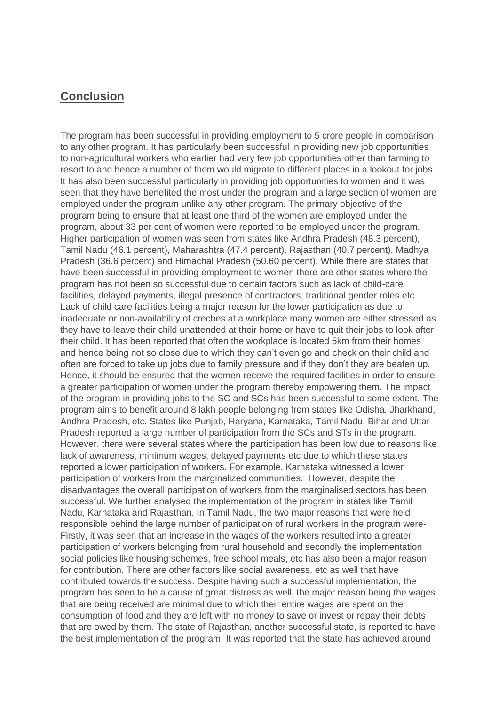#### **Conclusion**

The program has been successful in providing employment to 5 crore people in comparison to any other program. It has particularly been successful in providing new job opportunities to non-agricultural workers who earlier had very few job opportunities other than farming to resort to and hence a number of them would migrate to different places in a lookout for jobs. It has also been successful particularly in providing job opportunities to women and it was seen that they have benefited the most under the program and a large section of women are employed under the program unlike any other program. The primary objective of the program being to ensure that at least one third of the women are employed under the program, about 33 per cent of women were reported to be employed under the program. Higher participation of women was seen from states like Andhra Pradesh (48.3 percent), Tamil Nadu (46.1 percent), Maharashtra (47.4 percent), Rajasthan (40.7 percent), Madhya Pradesh (36.6 percent) and Himachal Pradesh (50.60 percent). While there are states that have been successful in providing employment to women there are other states where the program has not been so successful due to certain factors such as lack of child-care facilities, delayed payments, illegal presence of contractors, traditional gender roles etc. Lack of child care facilities being a major reason for the lower participation as due to inadequate or non-availability of creches at a workplace many women are either stressed as they have to leave their child unattended at their home or have to quit their jobs to look after their child. It has been reported that often the workplace is located 5km from their homes and hence being not so close due to which they can't even go and check on their child and often are forced to take up jobs due to family pressure and if they don't they are beaten up. Hence, it should be ensured that the women receive the required facilities in order to ensure a greater participation of women under the program thereby empowering them. The impact of the program in providing jobs to the SC and SCs has been successful to some extent. The program aims to benefit around 8 lakh people belonging from states like Odisha, Jharkhand, Andhra Pradesh, etc. States like Punjab, Haryana, Karnataka, Tamil Nadu, Bihar and Uttar Pradesh reported a large number of participation from the SCs and STs in the program. However, there were several states where the participation has been low due to reasons like lack of awareness, minimum wages, delayed payments etc due to which these states reported a lower participation of workers. For example, Karnataka witnessed a lower participation of workers from the marginalized communities. However, despite the disadvantages the overall participation of workers from the marginalised sectors has been successful. We further analysed the implementation of the program in states like Tamil Nadu, Karnataka and Rajasthan. In Tamil Nadu, the two major reasons that were held responsible behind the large number of participation of rural workers in the program were-Firstly, it was seen that an increase in the wages of the workers resulted into a greater participation of workers belonging from rural household and secondly the implementation social policies like housing schemes, free school meals, etc has also been a major reason for contribution. There are other factors like social awareness, etc as well that have contributed towards the success. Despite having such a successful implementation, the program has seen to be a cause of great distress as well, the major reason being the wages that are being received are minimal due to which their entire wages are spent on the consumption of food and they are left with no money to save or invest or repay their debts that are owed by them. The state of Rajasthan, another successful state, is reported to have the best implementation of the program. It was reported that the state has achieved around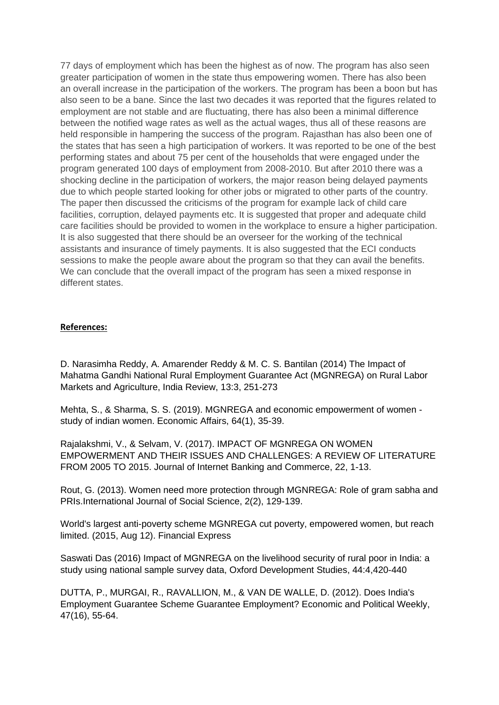77 days of employment which has been the highest as of now. The program has also seen greater participation of women in the state thus empowering women. There has also been an overall increase in the participation of the workers. The program has been a boon but has also seen to be a bane. Since the last two decades it was reported that the figures related to employment are not stable and are fluctuating, there has also been a minimal difference between the notified wage rates as well as the actual wages, thus all of these reasons are held responsible in hampering the success of the program. Rajasthan has also been one of the states that has seen a high participation of workers. It was reported to be one of the best performing states and about 75 per cent of the households that were engaged under the program generated 100 days of employment from 2008-2010. But after 2010 there was a shocking decline in the participation of workers, the major reason being delayed payments due to which people started looking for other jobs or migrated to other parts of the country. The paper then discussed the criticisms of the program for example lack of child care facilities, corruption, delayed payments etc. It is suggested that proper and adequate child care facilities should be provided to women in the workplace to ensure a higher participation. It is also suggested that there should be an overseer for the working of the technical assistants and insurance of timely payments. It is also suggested that the ECI conducts sessions to make the people aware about the program so that they can avail the benefits. We can conclude that the overall impact of the program has seen a mixed response in different states.

#### **References:**

D. Narasimha Reddy, A. Amarender Reddy & M. C. S. Bantilan (2014) The Impact of Mahatma Gandhi National Rural Employment Guarantee Act (MGNREGA) on Rural Labor Markets and Agriculture, India Review, 13:3, 251-273

Mehta, S., & Sharma, S. S. (2019). MGNREGA and economic empowerment of women study of indian women. Economic Affairs, 64(1), 35-39.

Rajalakshmi, V., & Selvam, V. (2017). IMPACT OF MGNREGA ON WOMEN EMPOWERMENT AND THEIR ISSUES AND CHALLENGES: A REVIEW OF LITERATURE FROM 2005 TO 2015. Journal of Internet Banking and Commerce, 22, 1-13.

Rout, G. (2013). Women need more protection through MGNREGA: Role of gram sabha and PRIs.International Journal of Social Science, 2(2), 129-139.

World's largest anti-poverty scheme MGNREGA cut poverty, empowered women, but reach limited. (2015, Aug 12). Financial Express

Saswati Das (2016) Impact of MGNREGA on the livelihood security of rural poor in India: a study using national sample survey data, Oxford Development Studies, 44:4,420-440

DUTTA, P., MURGAI, R., RAVALLION, M., & VAN DE WALLE, D. (2012). Does India's Employment Guarantee Scheme Guarantee Employment? Economic and Political Weekly, 47(16), 55-64.